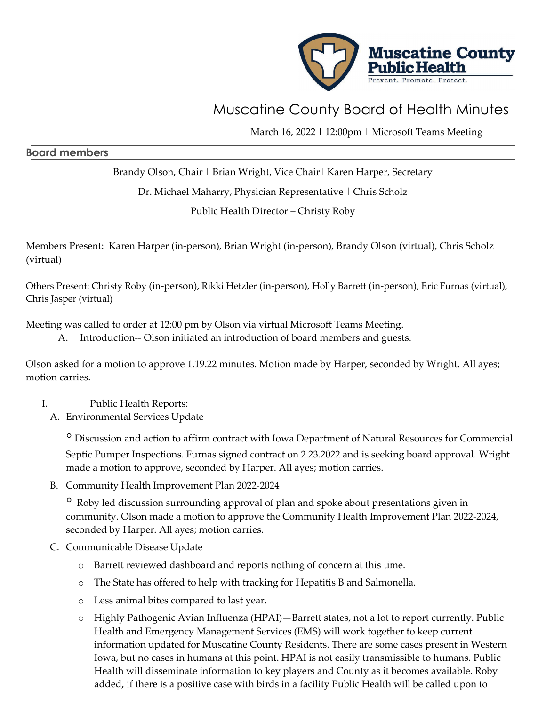

## Muscatine County Board of Health Minutes

March 16, 2022 | 12:00pm | Microsoft Teams Meeting

## **Board members**

Brandy Olson, Chair | Brian Wright, Vice Chair | Karen Harper, Secretary

Dr. Michael Maharry, Physician Representative | Chris Scholz

Public Health Director – Christy Roby

Members Present: Karen Harper (in-person), Brian Wright (in-person), Brandy Olson (virtual), Chris Scholz (virtual)

Others Present: Christy Roby (in-person), Rikki Hetzler (in-person), Holly Barrett (in-person), Eric Furnas (virtual), Chris Jasper (virtual)

Meeting was called to order at 12:00 pm by Olson via virtual Microsoft Teams Meeting.

A. Introduction-- Olson initiated an introduction of board members and guests.

Olson asked for a motion to approve 1.19.22 minutes. Motion made by Harper, seconded by Wright. All ayes; motion carries.

## I. Public Health Reports:

A. Environmental Services Update

◦ Discussion and action to affirm contract with Iowa Department of Natural Resources for Commercial Septic Pumper Inspections. Furnas signed contract on 2.23.2022 and is seeking board approval. Wright made a motion to approve, seconded by Harper. All ayes; motion carries.

B. Community Health Improvement Plan 2022-2024

<sup>o</sup> Roby led discussion surrounding approval of plan and spoke about presentations given in community. Olson made a motion to approve the Community Health Improvement Plan 2022-2024, seconded by Harper. All ayes; motion carries.

- C. Communicable Disease Update
	- o Barrett reviewed dashboard and reports nothing of concern at this time.
	- o The State has offered to help with tracking for Hepatitis B and Salmonella.
	- o Less animal bites compared to last year.
	- o Highly Pathogenic Avian Influenza (HPAI)—Barrett states, not a lot to report currently. Public Health and Emergency Management Services (EMS) will work together to keep current information updated for Muscatine County Residents. There are some cases present in Western Iowa, but no cases in humans at this point. HPAI is not easily transmissible to humans. Public Health will disseminate information to key players and County as it becomes available. Roby added, if there is a positive case with birds in a facility Public Health will be called upon to